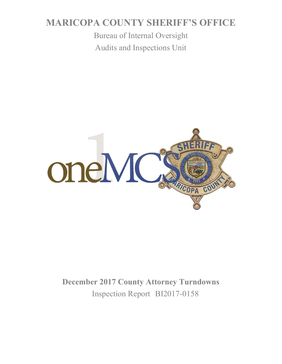# **MARICOPA COUNTY SHERIFF'S OFFICE**

Bureau of Internal Oversight Audits and Inspections Unit



**December 2017 County Attorney Turndowns** Inspection Report BI2017-0158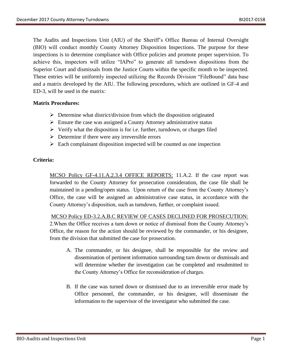The Audits and Inspections Unit (AIU) of the Sheriff's Office Bureau of Internal Oversight (BIO) will conduct monthly County Attorney Disposition Inspections. The purpose for these inspections is to determine compliance with Office policies and promote proper supervision. To achieve this, inspectors will utilize "IAPro" to generate all turndown dispositions from the Superior Court and dismissals from the Justice Courts within the specific month to be inspected. These entries will be uniformly inspected utilizing the Records Division "FileBound" data base and a matrix developed by the AIU. The following procedures, which are outlined in GF-4 and ED-3, will be used in the matrix:

#### **Matrix Procedures:**

- $\triangleright$  Determine what district/division from which the disposition originated
- $\triangleright$  Ensure the case was assigned a County Attorney administrative status
- $\triangleright$  Verify what the disposition is for i.e. further, turndown, or charges filed
- $\triangleright$  Determine if there were any irreversible errors
- $\triangleright$  Each complainant disposition inspected will be counted as one inspection

#### **Criteria:**

MCSO Policy GF-4.11.A.2.3.4 OFFICE REPORTS: 11.A.2. If the case report was forwarded to the County Attorney for prosecution consideration, the case file shall be maintained in a pending/open status. Upon return of the case from the County Attorney's Office, the case will be assigned an administrative case status, in accordance with the County Attorney's disposition, such as turndown, further, or complaint issued.

 MCSO Policy ED-3.2.A.B.C REVIEW OF CASES DECLINED FOR PROSECUTION: 2.When the Office receives a turn down or notice of dismissal from the County Attorney's Office, the reason for the action should be reviewed by the commander, or his designee, from the division that submitted the case for prosecution.

- A. The commander, or his designee, shall be responsible for the review and dissemination of pertinent information surrounding turn downs or dismissals and will determine whether the investigation can be completed and resubmitted to the County Attorney's Office for reconsideration of charges.
- B. If the case was turned down or dismissed due to an irreversible error made by Office personnel, the commander, or his designee, will disseminate the information to the supervisor of the investigator who submitted the case.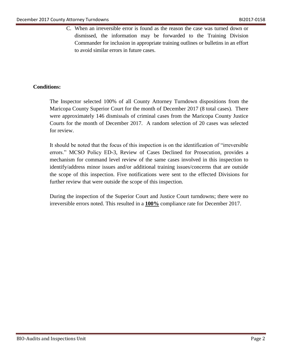C. When an irreversible error is found as the reason the case was turned down or dismissed, the information may be forwarded to the Training Division Commander for inclusion in appropriate training outlines or bulletins in an effort to avoid similar errors in future cases.

### **Conditions:**

The Inspector selected 100% of all County Attorney Turndown dispositions from the Maricopa County Superior Court for the month of December 2017 (8 total cases). There were approximately 146 dismissals of criminal cases from the Maricopa County Justice Courts for the month of December 2017. A random selection of 20 cases was selected for review.

It should be noted that the focus of this inspection is on the identification of "irreversible errors." MCSO Policy ED-3, Review of Cases Declined for Prosecution, provides a mechanism for command level review of the same cases involved in this inspection to identify/address minor issues and/or additional training issues/concerns that are outside the scope of this inspection. Five notifications were sent to the effected Divisions for further review that were outside the scope of this inspection.

During the inspection of the Superior Court and Justice Court turndowns; there were no irreversible errors noted. This resulted in a **100%** compliance rate for December 2017.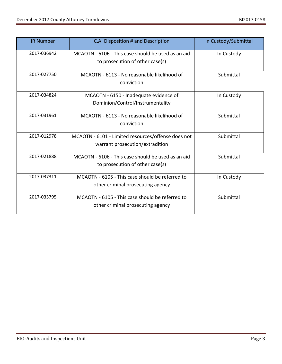| <b>IR Number</b> | C.A. Disposition # and Description                                                    | In Custody/Submittal |
|------------------|---------------------------------------------------------------------------------------|----------------------|
| 2017-036942      | MCAOTN - 6106 - This case should be used as an aid<br>to prosecution of other case(s) | In Custody           |
| 2017-027750      | MCAOTN - 6113 - No reasonable likelihood of<br>conviction                             | Submittal            |
| 2017-034824      | MCAOTN - 6150 - Inadequate evidence of<br>Dominion/Control/Instrumentality            | In Custody           |
| 2017-031961      | MCAOTN - 6113 - No reasonable likelihood of<br>conviction                             | Submittal            |
| 2017-012978      | MCAOTN - 6101 - Limited resources/offense does not<br>warrant prosecution/extradition | Submittal            |
| 2017-021888      | MCAOTN - 6106 - This case should be used as an aid<br>to prosecution of other case(s) | Submittal            |
| 2017-037311      | MCAOTN - 6105 - This case should be referred to<br>other criminal prosecuting agency  | In Custody           |
| 2017-033795      | MCAOTN - 6105 - This case should be referred to<br>other criminal prosecuting agency  | Submittal            |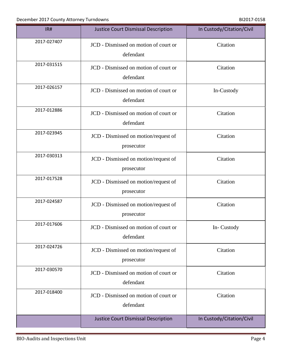| IR#         | <b>Justice Court Dismissal Description</b>         | In Custody/Citation/Civil |
|-------------|----------------------------------------------------|---------------------------|
| 2017-027407 | JCD - Dismissed on motion of court or<br>defendant | Citation                  |
| 2017-031515 | JCD - Dismissed on motion of court or<br>defendant | Citation                  |
| 2017-026157 | JCD - Dismissed on motion of court or<br>defendant | In-Custody                |
| 2017-012886 | JCD - Dismissed on motion of court or<br>defendant | Citation                  |
| 2017-023945 | JCD - Dismissed on motion/request of<br>prosecutor | Citation                  |
| 2017-030313 | JCD - Dismissed on motion/request of<br>prosecutor | Citation                  |
| 2017-017528 | JCD - Dismissed on motion/request of<br>prosecutor | Citation                  |
| 2017-024587 | JCD - Dismissed on motion/request of<br>prosecutor | Citation                  |
| 2017-017606 | JCD - Dismissed on motion of court or<br>defendant | In-Custody                |
| 2017-024726 | JCD - Dismissed on motion/request of<br>prosecutor | Citation                  |
| 2017-030570 | JCD - Dismissed on motion of court or<br>defendant | Citation                  |
| 2017-018400 | JCD - Dismissed on motion of court or<br>defendant | Citation                  |
|             | Justice Court Dismissal Description                | In Custody/Citation/Civil |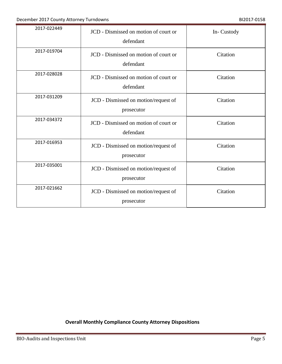| 2017-022449 | JCD - Dismissed on motion of court or<br>defendant | In-Custody |
|-------------|----------------------------------------------------|------------|
| 2017-019704 | JCD - Dismissed on motion of court or<br>defendant | Citation   |
| 2017-028028 | JCD - Dismissed on motion of court or<br>defendant | Citation   |
| 2017-031209 | JCD - Dismissed on motion/request of<br>prosecutor | Citation   |
| 2017-034372 | JCD - Dismissed on motion of court or<br>defendant | Citation   |
| 2017-016953 | JCD - Dismissed on motion/request of<br>prosecutor | Citation   |
| 2017-035001 | JCD - Dismissed on motion/request of<br>prosecutor | Citation   |
| 2017-021662 | JCD - Dismissed on motion/request of<br>prosecutor | Citation   |

## **Overall Monthly Compliance County Attorney Dispositions**